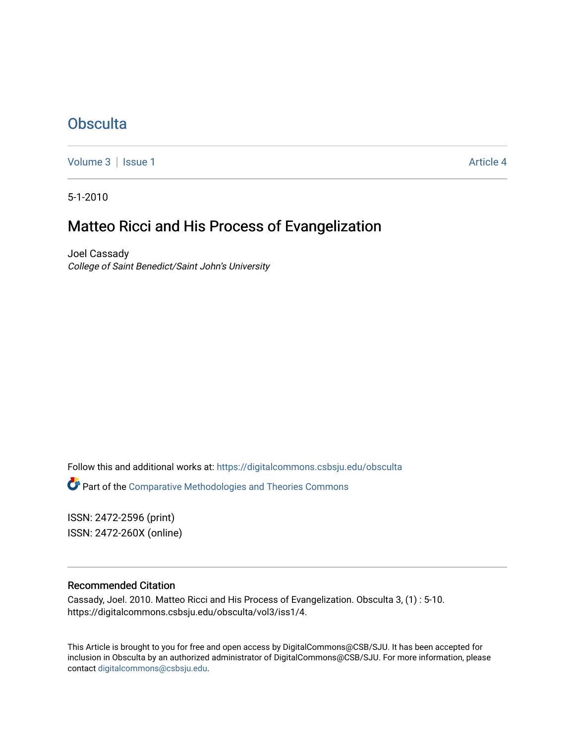## **[Obsculta](https://digitalcommons.csbsju.edu/obsculta)**

[Volume 3](https://digitalcommons.csbsju.edu/obsculta/vol3) | [Issue 1](https://digitalcommons.csbsju.edu/obsculta/vol3/iss1) Article 4

5-1-2010

## Matteo Ricci and His Process of Evangelization

Joel Cassady College of Saint Benedict/Saint John's University

Follow this and additional works at: [https://digitalcommons.csbsju.edu/obsculta](https://digitalcommons.csbsju.edu/obsculta?utm_source=digitalcommons.csbsju.edu%2Fobsculta%2Fvol3%2Fiss1%2F4&utm_medium=PDF&utm_campaign=PDFCoverPages)  Part of the [Comparative Methodologies and Theories Commons](http://network.bepress.com/hgg/discipline/540?utm_source=digitalcommons.csbsju.edu%2Fobsculta%2Fvol3%2Fiss1%2F4&utm_medium=PDF&utm_campaign=PDFCoverPages)

ISSN: 2472-2596 (print) ISSN: 2472-260X (online)

## Recommended Citation

Cassady, Joel. 2010. Matteo Ricci and His Process of Evangelization. Obsculta 3, (1) : 5-10. https://digitalcommons.csbsju.edu/obsculta/vol3/iss1/4.

This Article is brought to you for free and open access by DigitalCommons@CSB/SJU. It has been accepted for inclusion in Obsculta by an authorized administrator of DigitalCommons@CSB/SJU. For more information, please contact [digitalcommons@csbsju.edu.](mailto:digitalcommons@csbsju.edu)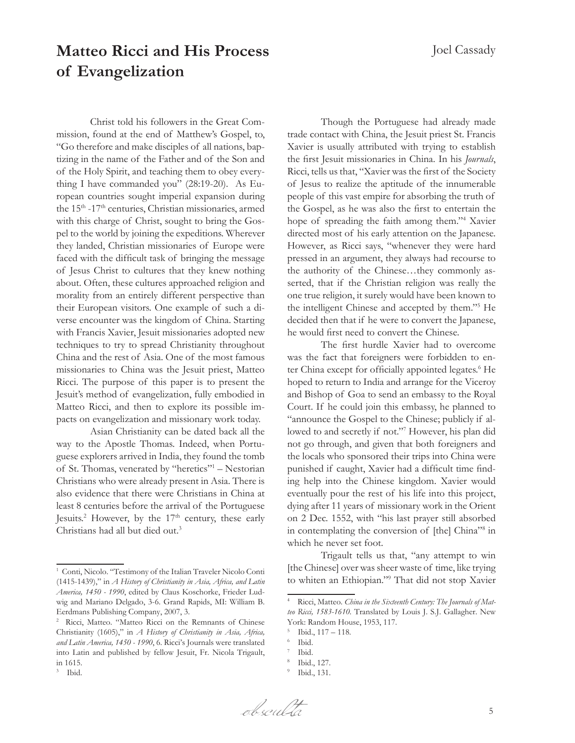## **Matteo Ricci and His Process of Evangelization**

Christ told his followers in the Great Commission, found at the end of Matthew's Gospel, to, "Go therefore and make disciples of all nations, baptizing in the name of the Father and of the Son and of the Holy Spirit, and teaching them to obey everything I have commanded you" (28:19-20). As European countries sought imperial expansion during the 15th -17th centuries, Christian missionaries, armed with this charge of Christ, sought to bring the Gospel to the world by joining the expeditions. Wherever they landed, Christian missionaries of Europe were faced with the difficult task of bringing the message of Jesus Christ to cultures that they knew nothing about. Often, these cultures approached religion and morality from an entirely different perspective than their European visitors. One example of such a diverse encounter was the kingdom of China. Starting with Francis Xavier, Jesuit missionaries adopted new techniques to try to spread Christianity throughout China and the rest of Asia. One of the most famous missionaries to China was the Jesuit priest, Matteo Ricci. The purpose of this paper is to present the Jesuit's method of evangelization, fully embodied in Matteo Ricci, and then to explore its possible impacts on evangelization and missionary work today.

Asian Christianity can be dated back all the way to the Apostle Thomas. Indeed, when Portuguese explorers arrived in India, they found the tomb of St. Thomas, venerated by "heretics"<sup>1</sup> - Nestorian Christians who were already present in Asia. There is also evidence that there were Christians in China at least 8 centuries before the arrival of the Portuguese Jesuits.<sup>2</sup> However, by the 17<sup>th</sup> century, these early Christians had all but died out.<sup>3</sup>

Though the Portuguese had already made trade contact with China, the Jesuit priest St. Francis Xavier is usually attributed with trying to establish the first Jesuit missionaries in China. In his *Journals*, Ricci, tells us that, "Xavier was the first of the Society of Jesus to realize the aptitude of the innumerable people of this vast empire for absorbing the truth of the Gospel, as he was also the first to entertain the hope of spreading the faith among them."<sup>4</sup> Xavier directed most of his early attention on the Japanese. However, as Ricci says, "whenever they were hard pressed in an argument, they always had recourse to the authority of the Chinese…they commonly asserted, that if the Christian religion was really the one true religion, it surely would have been known to the intelligent Chinese and accepted by them."<sup>5</sup> He decided then that if he were to convert the Japanese, he would first need to convert the Chinese.

The first hurdle Xavier had to overcome was the fact that foreigners were forbidden to enter China except for officially appointed legates.<sup>6</sup> He hoped to return to India and arrange for the Viceroy and Bishop of Goa to send an embassy to the Royal Court. If he could join this embassy, he planned to "announce the Gospel to the Chinese; publicly if allowed to and secretly if not."<sup>7</sup> However, his plan did not go through, and given that both foreigners and the locals who sponsored their trips into China were punished if caught, Xavier had a difficult time finding help into the Chinese kingdom. Xavier would eventually pour the rest of his life into this project, dying after 11 years of missionary work in the Orient on 2 Dec. 1552, with "his last prayer still absorbed in contemplating the conversion of [the] China"<sup>8</sup> in which he never set foot.

Trigault tells us that, "any attempt to win [the Chinese] over was sheer waste of time, like trying to whiten an Ethiopian."<sup>9</sup> That did not stop Xavier

<sup>&</sup>lt;sup>1</sup> Conti, Nicolo. "Testimony of the Italian Traveler Nicolo Conti (1415-1439)," in *A History of Christianity in Asia, Africa, and Latin America, 1450 - 1990*, edited by Claus Koschorke, Frieder Ludwig and Mariano Delgado, 3-6. Grand Rapids, MI: William B. Eerdmans Publishing Company, 2007, 3.

<sup>2</sup> Ricci, Matteo. "Matteo Ricci on the Remnants of Chinese Christianity (1605)," in *A History of Christianity in Asia, Africa, and Latin America, 1450 - 1990*, 6. Ricci's Journals were translated into Latin and published by fellow Jesuit, Fr. Nicola Trigault, in 1615.

Ibid.

Ricci, Matteo. China in the Sixteenth Century: The Journals of Mat*teo Ricci, 1583-1610.* Translated by Louis J. S.J. Gallagher. New York: Random House, 1953, 117.

 $15$  Ibid.,  $117 - 118$ .

<sup>6</sup> Ibid.

<sup>7</sup> Ibid.

Ibid., 127. 9 Ibid., 131.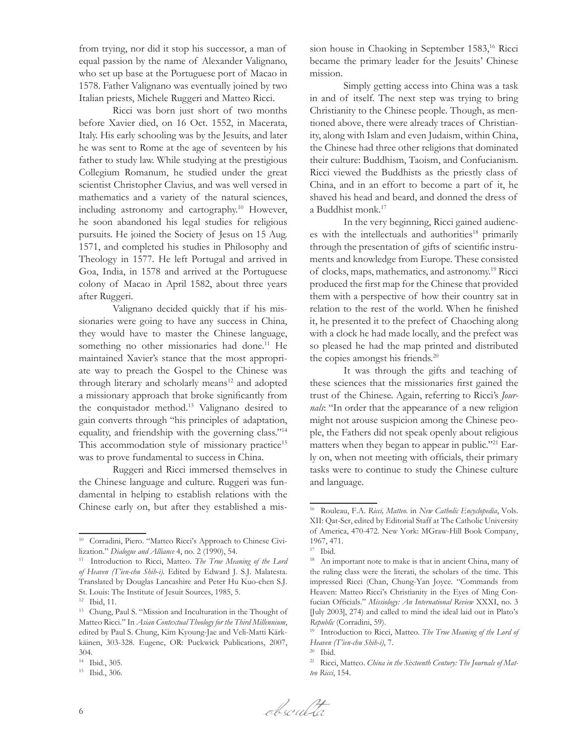from trying, nor did it stop his successor, a man of equal passion by the name of Alexander Valignano, who set up base at the Portuguese port of Macao in 1578. Father Valignano was eventually joined by two Italian priests, Michele Ruggeri and Matteo Ricci.

Ricci was born just short of two months before Xavier died, on 16 Oct. 1552, in Macerata, Italy. His early schooling was by the Jesuits, and later he was sent to Rome at the age of seventeen by his father to study law. While studying at the prestigious Collegium Romanum, he studied under the great scientist Christopher Clavius, and was well versed in mathematics and a variety of the natural sciences, including astronomy and cartography.<sup>10</sup> However, he soon abandoned his legal studies for religious pursuits. He joined the Society of Jesus on 15 Aug. 1571, and completed his studies in Philosophy and Theology in 1577. He left Portugal and arrived in Goa, India, in 1578 and arrived at the Portuguese colony of Macao in April 1582, about three years after Ruggeri.

Valignano decided quickly that if his missionaries were going to have any success in China, they would have to master the Chinese language, something no other missionaries had done.<sup>11</sup> He maintained Xavier's stance that the most appropriate way to preach the Gospel to the Chinese was through literary and scholarly means<sup>12</sup> and adopted a missionary approach that broke significantly from the conquistador method.13 Valignano desired to gain converts through "his principles of adaptation, equality, and friendship with the governing class."<sup>14</sup> This accommodation style of missionary practice<sup>15</sup> was to prove fundamental to success in China.

Ruggeri and Ricci immersed themselves in the Chinese language and culture. Ruggeri was fundamental in helping to establish relations with the Chinese early on, but after they established a mission house in Chaoking in September 1583,<sup>16</sup> Ricci became the primary leader for the Jesuits' Chinese mission.

Simply getting access into China was a task in and of itself. The next step was trying to bring Christianity to the Chinese people. Though, as mentioned above, there were already traces of Christianity, along with Islam and even Judaism, within China, the Chinese had three other religions that dominated their culture: Buddhism, Taoism, and Confucianism. Ricci viewed the Buddhists as the priestly class of China, and in an effort to become a part of it, he shaved his head and beard, and donned the dress of a Buddhist monk.<sup>17</sup>

In the very beginning, Ricci gained audiences with the intellectuals and authorities<sup>18</sup> primarily through the presentation of gifts of scientific instruments and knowledge from Europe. These consisted of clocks, maps, mathematics, and astronomy.19 Ricci produced the first map for the Chinese that provided them with a perspective of how their country sat in relation to the rest of the world. When he finished it, he presented it to the prefect of Chaoching along with a clock he had made locally, and the prefect was so pleased he had the map printed and distributed the copies amongst his friends.<sup>20</sup>

It was through the gifts and teaching of these sciences that the missionaries first gained the trust of the Chinese. Again, referring to Ricci's *Journals*: "In order that the appearance of a new religion might not arouse suspicion among the Chinese people, the Fathers did not speak openly about religious matters when they began to appear in public."<sup>21</sup> Early on, when not meeting with officials, their primary tasks were to continue to study the Chinese culture and language.

<sup>&</sup>lt;sup>10</sup> Corradini, Piero. "Matteo Ricci's Approach to Chinese Civilization." *Dialogue and Alliance* 4, no. 2 (1990), 54.

<sup>11</sup> Introduction to Ricci, Matteo. *The True Meaning of the Lord of Heaven (T'ien-chu Shih-i).* Edited by Edward J. S.J. Malatesta. Translated by Douglas Lancashire and Peter Hu Kuo-chen S.J. St. Louis: The Institute of Jesuit Sources, 1985, 5.

<sup>12</sup> Ibid, 11.

<sup>&</sup>lt;sup>13</sup> Chung, Paul S. "Mission and Inculturation in the Thought of Matteo Ricci." In *Asian Contextual Theology for the Third Millennium*, edited by Paul S. Chung, Kim Kyoung-Jae and Veli-Matti Kärkkäinen, 303-328. Eugene, OR: Puckwick Publications, 2007, 304.

<sup>14</sup> Ibid., 305.

<sup>15</sup> Ibid., 306.

<sup>16</sup> Rouleau, F.A. *Ricci, Matteo.* in *New Catholic Encyclopedia*, Vols. XII: Qat-Scr, edited by Editorial Staff at The Catholic University of America, 470-472. New York: MGraw-Hill Book Company, 1967, 471.

<sup>17</sup> Ibid.

<sup>&</sup>lt;sup>18</sup> An important note to make is that in ancient China, many of the ruling class were the literati, the scholars of the time. This impressed Ricci (Chan, Chung-Yan Joyce. "Commands from Heaven: Matteo Ricci's Christianity in the Eyes of Ming Confucian Officials." *Missiology: An International Review* XXXI, no. 3 [July 2003], 274) and called to mind the ideal laid out in Plato's *Republic* (Corradini, 59).

<sup>19</sup> Introduction to Ricci, Matteo. *The True Meaning of the Lord of Heaven (T'ien-chu Shih-i)*, 7.

 $20$  Ibid.

<sup>21</sup> Ricci, Matteo. *China in the Sixteenth Century: The Journals of Matteo Ricci*, 154.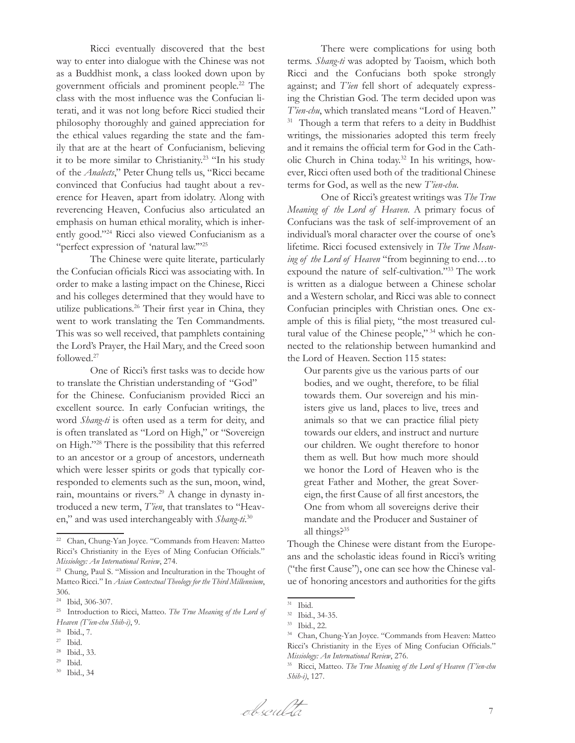Ricci eventually discovered that the best way to enter into dialogue with the Chinese was not as a Buddhist monk, a class looked down upon by government officials and prominent people.22 The class with the most influence was the Confucian literati, and it was not long before Ricci studied their philosophy thoroughly and gained appreciation for the ethical values regarding the state and the family that are at the heart of Confucianism, believing it to be more similar to Christianity.23 "In his study of the *Analects*," Peter Chung tells us, "Ricci became convinced that Confucius had taught about a reverence for Heaven, apart from idolatry. Along with reverencing Heaven, Confucius also articulated an emphasis on human ethical morality, which is inherently good."24 Ricci also viewed Confucianism as a "perfect expression of 'natural law.'"<sup>25</sup>

The Chinese were quite literate, particularly the Confucian officials Ricci was associating with. In order to make a lasting impact on the Chinese, Ricci and his colleges determined that they would have to utilize publications.<sup>26</sup> Their first year in China, they went to work translating the Ten Commandments. This was so well received, that pamphlets containing the Lord's Prayer, the Hail Mary, and the Creed soon followed.<sup>27</sup>

One of Ricci's first tasks was to decide how to translate the Christian understanding of "God" for the Chinese. Confucianism provided Ricci an excellent source. In early Confucian writings, the word *Shang-ti* is often used as a term for deity, and is often translated as "Lord on High," or "Sovereign on High."28 There is the possibility that this referred to an ancestor or a group of ancestors, underneath which were lesser spirits or gods that typically corresponded to elements such as the sun, moon, wind, rain, mountains or rivers.<sup>29</sup> A change in dynasty introduced a new term, *T'ien*, that translates to "Heaven," and was used interchangeably with *Shang-ti*. 30

- $^\mathrm{29}$  Ibid.
- <sup>30</sup> Ibid., 34

There were complications for using both terms. *Shang-ti* was adopted by Taoism, which both Ricci and the Confucians both spoke strongly against; and *T'ien* fell short of adequately expressing the Christian God. The term decided upon was *T'ien-chu*, which translated means "Lord of Heaven." <sup>31</sup> Though a term that refers to a deity in Buddhist writings, the missionaries adopted this term freely and it remains the official term for God in the Catholic Church in China today.32 In his writings, however, Ricci often used both of the traditional Chinese terms for God, as well as the new *T'ien-chu*.

One of Ricci's greatest writings was *The True Meaning of the Lord of Heaven*. A primary focus of Confucians was the task of self-improvement of an individual's moral character over the course of one's lifetime. Ricci focused extensively in *The True Meaning of the Lord of Heaven* "from beginning to end…to expound the nature of self-cultivation."33 The work is written as a dialogue between a Chinese scholar and a Western scholar, and Ricci was able to connect Confucian principles with Christian ones. One example of this is filial piety, "the most treasured cultural value of the Chinese people," 34 which he connected to the relationship between humankind and the Lord of Heaven. Section 115 states:

Our parents give us the various parts of our bodies, and we ought, therefore, to be filial towards them. Our sovereign and his ministers give us land, places to live, trees and animals so that we can practice filial piety towards our elders, and instruct and nurture our children. We ought therefore to honor them as well. But how much more should we honor the Lord of Heaven who is the great Father and Mother, the great Sovereign, the first Cause of all first ancestors, the One from whom all sovereigns derive their mandate and the Producer and Sustainer of all things?35

Though the Chinese were distant from the Europeans and the scholastic ideas found in Ricci's writing ("the first Cause"), one can see how the Chinese value of honoring ancestors and authorities for the gifts

<sup>22</sup> Chan, Chung-Yan Joyce. "Commands from Heaven: Matteo Ricci's Christianity in the Eyes of Ming Confucian Officials." *Missiology: An International Review*, 274.

<sup>23</sup> Chung, Paul S. "Mission and Inculturation in the Thought of Matteo Ricci." In *Asian Contextual Theology for the Third Millennium*, 306.

<sup>24</sup> Ibid, 306-307.

<sup>25</sup> Introduction to Ricci, Matteo. *The True Meaning of the Lord of Heaven (T'ien-chu Shih-i)*, 9.

<sup>26</sup> Ibid., 7.

<sup>27</sup> Ibid.

<sup>28</sup> Ibid., 33.

 $31$  Ibid.<br> $32$  Ibid.

 $32$  Ibid., 34-35.

Ibid., 22.

<sup>34</sup> Chan, Chung-Yan Joyce. "Commands from Heaven: Matteo Ricci's Christianity in the Eyes of Ming Confucian Officials." *Missiology: An International Review*, 276.

<sup>35</sup> Ricci, Matteo. *The True Meaning of the Lord of Heaven (T'ien-chu Shih-i)*, 127.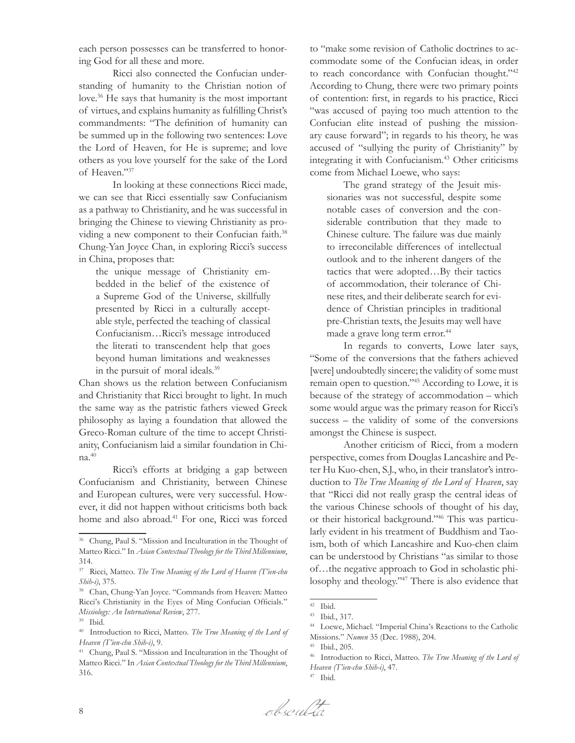each person possesses can be transferred to honoring God for all these and more.

Ricci also connected the Confucian understanding of humanity to the Christian notion of love.<sup>36</sup> He says that humanity is the most important of virtues, and explains humanity as fulfilling Christ's commandments: "The definition of humanity can be summed up in the following two sentences: Love the Lord of Heaven, for He is supreme; and love others as you love yourself for the sake of the Lord of Heaven."<sup>37</sup>

In looking at these connections Ricci made, we can see that Ricci essentially saw Confucianism as a pathway to Christianity, and he was successful in bringing the Chinese to viewing Christianity as providing a new component to their Confucian faith.<sup>38</sup> Chung-Yan Joyce Chan, in exploring Ricci's success in China, proposes that:

the unique message of Christianity embedded in the belief of the existence of a Supreme God of the Universe, skillfully presented by Ricci in a culturally acceptable style, perfected the teaching of classical Confucianism…Ricci's message introduced the literati to transcendent help that goes beyond human limitations and weaknesses in the pursuit of moral ideals.<sup>39</sup>

Chan shows us the relation between Confucianism and Christianity that Ricci brought to light. In much the same way as the patristic fathers viewed Greek philosophy as laying a foundation that allowed the Greco-Roman culture of the time to accept Christianity, Confucianism laid a similar foundation in China.<sup>40</sup>

Ricci's efforts at bridging a gap between Confucianism and Christianity, between Chinese and European cultures, were very successful. However, it did not happen without criticisms both back home and also abroad.<sup>41</sup> For one, Ricci was forced

to "make some revision of Catholic doctrines to accommodate some of the Confucian ideas, in order to reach concordance with Confucian thought."<sup>42</sup> According to Chung, there were two primary points of contention: first, in regards to his practice, Ricci "was accused of paying too much attention to the Confucian elite instead of pushing the missionary cause forward"; in regards to his theory, he was accused of "sullying the purity of Christianity" by integrating it with Confucianism.<sup>43</sup> Other criticisms come from Michael Loewe, who says:

The grand strategy of the Jesuit missionaries was not successful, despite some notable cases of conversion and the considerable contribution that they made to Chinese culture. The failure was due mainly to irreconcilable differences of intellectual outlook and to the inherent dangers of the tactics that were adopted…By their tactics of accommodation, their tolerance of Chinese rites, and their deliberate search for evidence of Christian principles in traditional pre-Christian texts, the Jesuits may well have made a grave long term error.<sup>44</sup>

In regards to converts, Lowe later says, "Some of the conversions that the fathers achieved [were] undoubtedly sincere; the validity of some must remain open to question."45 According to Lowe, it is because of the strategy of accommodation – which some would argue was the primary reason for Ricci's success – the validity of some of the conversions amongst the Chinese is suspect.

Another criticism of Ricci, from a modern perspective, comes from Douglas Lancashire and Peter Hu Kuo-chen, S.J., who, in their translator's introduction to *The True Meaning of the Lord of Heaven*, say that "Ricci did not really grasp the central ideas of the various Chinese schools of thought of his day, or their historical background."46 This was particularly evident in his treatment of Buddhism and Taoism, both of which Lancashire and Kuo-chen claim can be understood by Christians "as similar to those of…the negative approach to God in scholastic philosophy and theology."47 There is also evidence that



<sup>36</sup> Chung, Paul S. "Mission and Inculturation in the Thought of Matteo Ricci." In *Asian Contextual Theology for the Third Millennium*, 314.

<sup>37</sup> Ricci, Matteo. *The True Meaning of the Lord of Heaven (T'ien-chu Shih-i)*, 375.

<sup>38</sup> Chan, Chung-Yan Joyce. "Commands from Heaven: Matteo Ricci's Christianity in the Eyes of Ming Confucian Officials." *Missiology: An International Review*, 277.

<sup>39</sup> Ibid.

<sup>40</sup> Introduction to Ricci, Matteo. *The True Meaning of the Lord of Heaven (T'ien-chu Shih-i)*, 9.

<sup>41</sup> Chung, Paul S. "Mission and Inculturation in the Thought of Matteo Ricci." In *Asian Contextual Theology for the Third Millennium*, 316.

<sup>42</sup> Ibid.

<sup>43</sup> Ibid., 317.

<sup>44</sup> Loewe, Michael. "Imperial China's Reactions to the Catholic Missions." *Numen* 35 (Dec. 1988), 204.

<sup>45</sup> Ibid., 205.

<sup>46</sup> Introduction to Ricci, Matteo. *The True Meaning of the Lord of Heaven (T'ien-chu Shih-i)*, 47.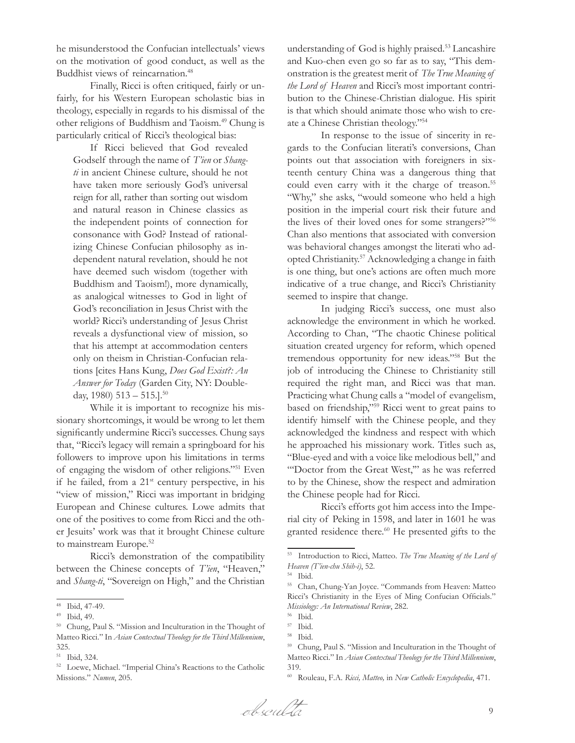he misunderstood the Confucian intellectuals' views on the motivation of good conduct, as well as the Buddhist views of reincarnation.<sup>48</sup>

Finally, Ricci is often critiqued, fairly or unfairly, for his Western European scholastic bias in theology, especially in regards to his dismissal of the other religions of Buddhism and Taoism.49 Chung is particularly critical of Ricci's theological bias:

If Ricci believed that God revealed Godself through the name of *T'ien* or *Shangti* in ancient Chinese culture, should he not have taken more seriously God's universal reign for all, rather than sorting out wisdom and natural reason in Chinese classics as the independent points of connection for consonance with God? Instead of rationalizing Chinese Confucian philosophy as independent natural revelation, should he not have deemed such wisdom (together with Buddhism and Taoism!), more dynamically, as analogical witnesses to God in light of God's reconciliation in Jesus Christ with the world? Ricci's understanding of Jesus Christ reveals a dysfunctional view of mission, so that his attempt at accommodation centers only on theism in Christian-Confucian relations [cites Hans Kung, *Does God Exist?: An Answer for Today* (Garden City, NY: Doubleday, 1980)  $513 - 515$ .

While it is important to recognize his missionary shortcomings, it would be wrong to let them significantly undermine Ricci's successes. Chung says that, "Ricci's legacy will remain a springboard for his followers to improve upon his limitations in terms of engaging the wisdom of other religions."51 Even if he failed, from a  $21^{st}$  century perspective, in his "view of mission," Ricci was important in bridging European and Chinese cultures. Lowe admits that one of the positives to come from Ricci and the other Jesuits' work was that it brought Chinese culture to mainstream Europe.<sup>52</sup>

Ricci's demonstration of the compatibility between the Chinese concepts of *T'ien*, "Heaven," and *Shang-ti*, "Sovereign on High," and the Christian understanding of God is highly praised.<sup>53</sup> Lancashire and Kuo-chen even go so far as to say, "This demonstration is the greatest merit of *The True Meaning of the Lord of Heaven* and Ricci's most important contribution to the Chinese-Christian dialogue. His spirit is that which should animate those who wish to create a Chinese Christian theology."<sup>54</sup>

In response to the issue of sincerity in regards to the Confucian literati's conversions, Chan points out that association with foreigners in sixteenth century China was a dangerous thing that could even carry with it the charge of treason.<sup>55</sup> "Why," she asks, "would someone who held a high position in the imperial court risk their future and the lives of their loved ones for some strangers?"<sup>56</sup> Chan also mentions that associated with conversion was behavioral changes amongst the literati who adopted Christianity.57 Acknowledging a change in faith is one thing, but one's actions are often much more indicative of a true change, and Ricci's Christianity seemed to inspire that change.

In judging Ricci's success, one must also acknowledge the environment in which he worked. According to Chan, "The chaotic Chinese political situation created urgency for reform, which opened tremendous opportunity for new ideas."58 But the job of introducing the Chinese to Christianity still required the right man, and Ricci was that man. Practicing what Chung calls a "model of evangelism, based on friendship,"59 Ricci went to great pains to identify himself with the Chinese people, and they acknowledged the kindness and respect with which he approached his missionary work. Titles such as, "Blue-eyed and with a voice like melodious bell," and "'Doctor from the Great West,'" as he was referred to by the Chinese, show the respect and admiration the Chinese people had for Ricci.

Ricci's efforts got him access into the Imperial city of Peking in 1598, and later in 1601 he was granted residence there.<sup>60</sup> He presented gifts to the

<sup>48</sup> Ibid, 47-49.

<sup>49</sup> Ibid, 49.

<sup>50</sup> Chung, Paul S. "Mission and Inculturation in the Thought of Matteo Ricci." In *Asian Contextual Theology for the Third Millennium*, 325.

<sup>51</sup> Ibid, 324.

<sup>52</sup> Loewe, Michael. "Imperial China's Reactions to the Catholic Missions." *Numen*, 205.

<sup>53</sup> Introduction to Ricci, Matteo. *The True Meaning of the Lord of Heaven (T'ien-chu Shih-i)*, 52.

<sup>54</sup> Ibid.

<sup>55</sup> Chan, Chung-Yan Joyce. "Commands from Heaven: Matteo Ricci's Christianity in the Eyes of Ming Confucian Officials." *Missiology: An International Review*, 282.

 $56$  Ibid.<br> $57$  Ibid.

Ibid.

<sup>58</sup> Ibid.

<sup>59</sup> Chung, Paul S. "Mission and Inculturation in the Thought of Matteo Ricci." In *Asian Contextual Theology for the Third Millennium*, 319.

<sup>60</sup> Rouleau, F.A. *Ricci, Matteo,* in *New Catholic Encyclopedia*, 471.